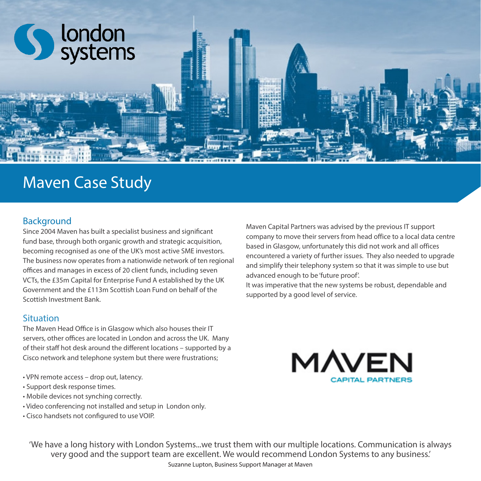

# Maven Case Study

### Background

Since 2004 Maven has built a specialist business and significant fund base, through both organic growth and strategic acquisition, becoming recognised as one of the UK's most active SME investors. The business now operates from a nationwide network of ten regional offices and manages in excess of 20 client funds, including seven VCTs, the £35m Capital for Enterprise Fund A established by the UK Government and the £113m Scottish Loan Fund on behalf of the Scottish Investment Bank.

### Situation

The Maven Head Office is in Glasgow which also houses their IT servers, other offices are located in London and across the UK. Many of their staff hot desk around the different locations – supported by a Cisco network and telephone system but there were frustrations;

- VPN remote access drop out, latency.
- Support desk response times.
- Mobile devices not synching correctly.
- Video conferencing not installed and setup in London only.
- Cisco handsets not configured to use VOIP.

Maven Capital Partners was advised by the previous IT support company to move their servers from head office to a local data centre based in Glasgow, unfortunately this did not work and all offices encountered a variety of further issues. They also needed to upgrade and simplify their telephony system so that it was simple to use but advanced enough to be 'future proof'.

It was imperative that the new systems be robust, dependable and supported by a good level of service.



'We have a long history with London Systems...we trust them with our multiple locations. Communication is always very good and the support team are excellent. We would recommend London Systems to any business.'

Suzanne Lupton, Business Support Manager at Maven